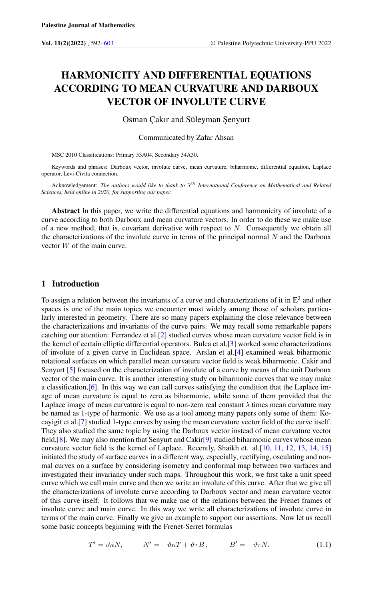# HARMONICITY AND DIFFERENTIAL EQUATIONS ACCORDING TO MEAN CURVATURE AND DARBOUX VECTOR OF INVOLUTE CURVE

Osman Çakır and Süleyman Şenyurt

Communicated by Zafar Ahsan

MSC 2010 Classifications: Primary 53A04, Secondary 34A30.

Keywords and phrases: Darboux vector, involute curve, mean curvature, biharmonic, differential equation, Laplace operator, Levi-Civita connection.

Acknowledgement: The authors would like to thank to 3<sup>th</sup> International Conference on Mathematical and Relatea *Sciences, held online in 2020, for supporting our paper.*

Abstract In this paper, we write the differential equations and harmonicity of involute of a curve according to both Darboux and mean curvature vectors. In order to do these we make use of a new method, that is, covariant derivative with respect to  $N$ . Consequently we obtain all the characterizations of the involute curve in terms of the principal normal  $N$  and the Darboux vector W of the main curve.

## 1 Introduction

To assign a relation between the invariants of a curve and characterizations of it in  $\mathbb{E}^3$  and other spaces is one of the main topics we encounter most widely among those of scholars particularly interested in geometry. There are so many papers explaining the close relevance between the characterizations and invariants of the curve pairs. We may recall some remarkable papers catching our attention: Ferrandez et al.[\[2\]](#page-11-1) studied curves whose mean curvature vector field is in the kernel of certain elliptic differential operators. Bulca et al.[\[3\]](#page-11-2) worked some characterizations of involute of a given curve in Euclidean space. Arslan et al.[\[4\]](#page-11-3) examined weak biharmonic rotational surfaces on which parallel mean curvature vector field is weak biharmonic. Cakir and Senyurt [\[5\]](#page-11-4) focused on the characterization of involute of a curve by means of the unit Darboux vector of the main curve. It is another interesting study on biharmonic curves that we may make a classification,[\[6\]](#page-11-5). In this way we can call curves satisfying the condition that the Laplace image of mean curvature is equal to zero as biharmonic, while some of them provided that the Laplace image of mean curvature is equal to non-zero real constant  $\lambda$  times mean curvature may be named as 1-type of harmonic. We use as a tool among many papers only some of them: Kocayigit et al.[\[7\]](#page-11-6) studied 1-type curves by using the mean curvature vector field of the curve itself. They also studied the same topic by using the Darboux vector instead of mean curvature vector field,[\[8\]](#page-11-7). We may also mention that Senyurt and Cakir[\[9\]](#page-11-8) studied biharmonic curves whose mean curvature vector field is the kernel of Laplace. Recently, Shaikh et. al.[\[10,](#page-11-9) [11,](#page-11-10) [12,](#page-11-11) [13,](#page-11-12) [14,](#page-11-13) [15\]](#page-11-14) initiated the study of surface curves in a different way, especially, rectifying, osculating and normal curves on a surface by considering isometry and conformal map between two surfaces and investigated their invariancy under such maps. Throughout this work, we first take a unit speed curve which we call main curve and then we write an involute of this curve. After that we give all the characterizations of involute curve according to Darboux vector and mean curvature vector of this curve itself. It follows that we make use of the relations between the Frenet frames of involute curve and main curve. In this way we write all characterizations of involute curve in terms of the main curve. Finally we give an example to support our assertions. Now let us recall some basic concepts beginning with the Frenet-Serret formulas

<span id="page-0-0"></span>
$$
T' = \vartheta \kappa N, \qquad N' = -\vartheta \kappa T + \vartheta \tau B, \qquad B' = -\vartheta \tau N. \tag{1.1}
$$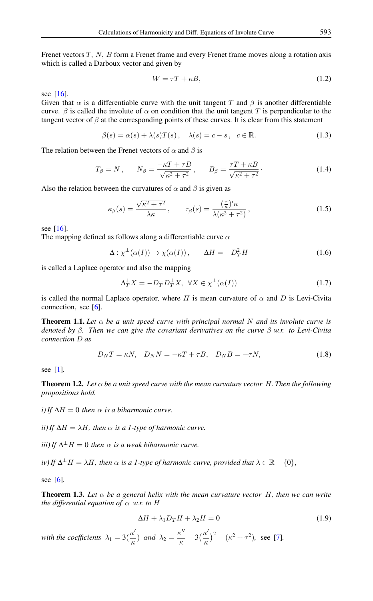Frenet vectors T, N, B form a Frenet frame and every Frenet frame moves along a rotation axis which is called a Darboux vector and given by

$$
W = \tau T + \kappa B,\tag{1.2}
$$

see [\[16\]](#page-11-15).

Given that  $\alpha$  is a differentiable curve with the unit tangent T and  $\beta$  is another differentiable curve.  $\beta$  is called the involute of  $\alpha$  on condition that the unit tangent T is perpendicular to the tangent vector of  $\beta$  at the corresponding points of these curves. It is clear from this statement

$$
\beta(s) = \alpha(s) + \lambda(s)T(s), \quad \lambda(s) = c - s, \quad c \in \mathbb{R}.
$$
 (1.3)

The relation between the Frenet vectors of  $\alpha$  and  $\beta$  is

<span id="page-1-1"></span>
$$
T_{\beta} = N \,, \qquad N_{\beta} = \frac{-\kappa T + \tau B}{\sqrt{\kappa^2 + \tau^2}} \,, \qquad B_{\beta} = \frac{\tau T + \kappa B}{\sqrt{\kappa^2 + \tau^2}} \,. \tag{1.4}
$$

Also the relation between the curvatures of  $\alpha$  and  $\beta$  is given as

<span id="page-1-2"></span>
$$
\kappa_{\beta}(s) = \frac{\sqrt{\kappa^2 + \tau^2}}{\lambda \kappa}, \qquad \tau_{\beta}(s) = \frac{\left(\frac{\tau}{\kappa}\right)^{\prime} \kappa}{\lambda(\kappa^2 + \tau^2)}, \tag{1.5}
$$

see [\[16\]](#page-11-15).

The mapping defined as follows along a differentiable curve  $\alpha$ 

$$
\Delta : \chi^{\perp}(\alpha(I)) \to \chi(\alpha(I)), \qquad \Delta H = -D_T^2 H \tag{1.6}
$$

is called a Laplace operator and also the mapping

$$
\Delta_T^{\perp} X = -D_T^{\perp} D_T^{\perp} X, \ \ \forall X \in \chi^{\perp}(\alpha(I)) \tag{1.7}
$$

is called the normal Laplace operator, where H is mean curvature of  $\alpha$  and D is Levi-Civita connection, see [\[6\]](#page-11-5).

<span id="page-1-0"></span>**Theorem 1.1.** Let  $\alpha$  be a unit speed curve with principal normal N and its involute curve is *denoted by* β*. Then we can give the covariant derivatives on the curve* β *w.r. to Levi-Civita connection* D *as*

<span id="page-1-3"></span>
$$
D_N T = \kappa N, \quad D_N N = -\kappa T + \tau B, \quad D_N B = -\tau N,
$$
\n(1.8)

see [\[1\]](#page-11-16)*.*

<span id="page-1-4"></span>**Theorem 1.2.** Let  $\alpha$  be a unit speed curve with the mean curvature vector H. Then the following *propositions hold.*

*i*) If  $\Delta H = 0$  then  $\alpha$  *is a biharmonic curve.* 

*ii) If*  $\Delta H = \lambda H$ *, then*  $\alpha$  *is a 1-type of harmonic curve.* 

 $(iii)$  If  $\Delta^{\perp}$  H = 0 *then*  $\alpha$  *is a weak biharmonic curve.* 

*iv*) If  $\Delta^{\perp}H = \lambda H$ , then  $\alpha$  is a 1-type of harmonic curve, provided that  $\lambda \in \mathbb{R} - \{0\}$ ,

see [\[6\]](#page-11-5)*.*

**Theorem 1.3.** Let  $\alpha$  be a general helix with the mean curvature vector H, then we can write *the differential equation of*  $\alpha$  *w.r. to* H

$$
\Delta H + \lambda_1 D_T H + \lambda_2 H = 0 \tag{1.9}
$$

*with the coefficients*  $\lambda_1 = 3(\frac{\kappa^6}{\kappa^6})$  $\frac{\kappa'}{\kappa}$ ) and  $\lambda_2 = \frac{\kappa''}{\kappa}$  $\frac{\kappa^{\prime\prime}}{\kappa}$  – 3 $\left(\frac{\kappa^{\prime}}{\kappa}\right)$  $(\frac{\kappa^2}{\kappa})^2 - (\kappa^2 + \tau^2)$ , see [\[7\]](#page-11-6).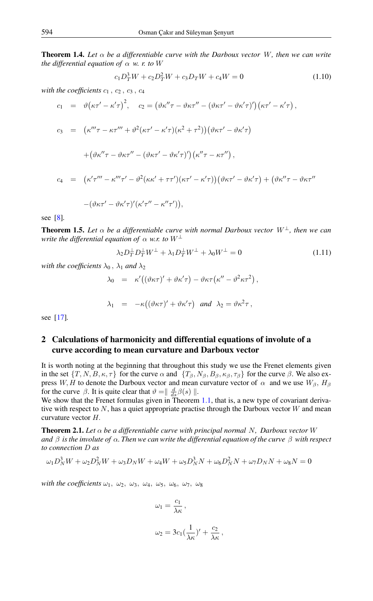**Theorem 1.4.** Let  $\alpha$  be a differentiable curve with the Darboux vector W, then we can write *the differential equation of*  $\alpha$  *w. r. to* W

<span id="page-2-0"></span>
$$
c_1 D_T^3 W + c_2 D_T^2 W + c_3 D_T W + c_4 W = 0 \tag{1.10}
$$

with the coefficients  $c_1$ ,  $c_2$ ,  $c_3$ ,  $c_4$ 

$$
c_1 = \vartheta(\kappa\tau' - \kappa'\tau)^2, \quad c_2 = (\vartheta\kappa''\tau - \vartheta\kappa\tau'' - (\vartheta\kappa\tau' - \vartheta\kappa'\tau)')(\kappa\tau' - \kappa'\tau),
$$
  
\n
$$
c_3 = (\kappa''' \tau - \kappa\tau''' + \vartheta^2(\kappa\tau' - \kappa'\tau)(\kappa^2 + \tau^2))(\vartheta\kappa\tau' - \vartheta\kappa'\tau)
$$
  
\n
$$
+ (\vartheta\kappa''\tau - \vartheta\kappa\tau'' - (\vartheta\kappa\tau' - \vartheta\kappa'\tau)')(\kappa''\tau - \kappa\tau''),
$$
  
\n
$$
c_4 = (\kappa'\tau''' - \kappa''' \tau' - \vartheta^2(\kappa\kappa' + \tau\tau')(\kappa\tau' - \kappa'\tau))(\vartheta\kappa\tau' - \vartheta\kappa'\tau) + (\vartheta\kappa''\tau - \vartheta\kappa\tau'' - (\vartheta\kappa\tau' - \vartheta\kappa'\tau)'(\kappa'\tau'' - \kappa''\tau')),
$$

see [\[8\]](#page-11-7)*.*

**Theorem 1.5.** Let  $\alpha$  be a differentiable curve with normal Darboux vector  $W^{\perp}$ , then we can *write the differential equation of*  $\alpha$  *w.r. to*  $W^{\perp}$ 

<span id="page-2-1"></span>
$$
\lambda_2 D_T^{\perp} D_T^{\perp} W^{\perp} + \lambda_1 D_T^{\perp} W^{\perp} + \lambda_0 W^{\perp} = 0 \tag{1.11}
$$

*with the coefficients*  $\lambda_0$ ,  $\lambda_1$  *and*  $\lambda_2$ 

$$
\lambda_0 = \kappa'((\vartheta \kappa \tau)' + \vartheta \kappa' \tau) - \vartheta \kappa \tau (\kappa'' - \vartheta^2 \kappa \tau^2),
$$
  

$$
\lambda_1 = -\kappa((\vartheta \kappa \tau)' + \vartheta \kappa' \tau) \text{ and } \lambda_2 = \vartheta \kappa^2 \tau,
$$

see [\[17\]](#page-11-17)*.*

# 2 Calculations of harmonicity and differential equations of involute of a curve according to mean curvature and Darboux vector

It is worth noting at the beginning that throughout this study we use the Frenet elements given in the set  $\{T, N, B, \kappa, \tau\}$  for the curve  $\alpha$  and  $\{T_{\beta}, N_{\beta}, B_{\beta}, \kappa_{\beta}, \tau_{\beta}\}$  for the curve  $\beta$ . We also express W, H to denote the Darboux vector and mean curvature vector of  $\alpha$  and we use  $W_{\beta}$ ,  $H_{\beta}$ for the curve  $\beta$ . It is quite clear that  $\vartheta = \frac{d}{ds}\beta(s)$  ||.

We show that the Frenet formulas given in Theorem [1.1,](#page-1-0) that is, a new type of covariant derivative with respect to  $N$ , has a quiet appropriate practise through the Darboux vector  $W$  and mean curvature vector H.

**Theorem 2.1.** Let  $\alpha$  be a differentiable curve with principal normal N, Darboux vector W *and*  $\beta$  *is the involute of*  $\alpha$ *. Then we can write the differential equation of the curve*  $\beta$  *with respect to connection* D *as*

$$
\omega_1 D_N^3 W + \omega_2 D_N^2 W + \omega_3 D_N W + \omega_4 W + \omega_5 D_N^3 N + \omega_6 D_N^2 N + \omega_7 D_N N + \omega_8 N = 0
$$

*with the coefficients*  $\omega_1$ ,  $\omega_2$ ,  $\omega_3$ ,  $\omega_4$ ,  $\omega_5$ ,  $\omega_6$ ,  $\omega_7$ ,  $\omega_8$ 

$$
\omega_1 = \frac{c_1}{\lambda \kappa} \,,
$$

$$
\omega_2 = 3c_1(\frac{1}{\lambda \kappa})' + \frac{c_2}{\lambda \kappa},
$$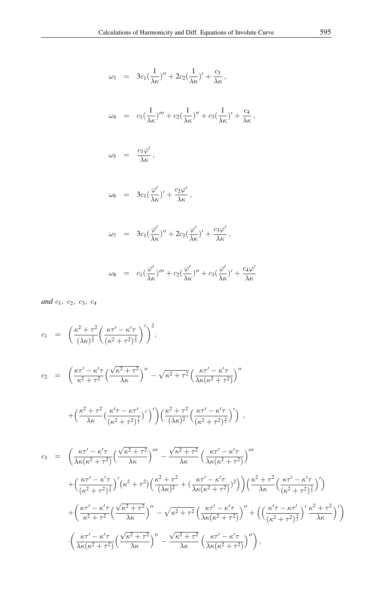$$
\omega_3 = 3c_1(\frac{1}{\lambda \kappa})'' + 2c_2(\frac{1}{\lambda \kappa})' + \frac{c_3}{\lambda \kappa},
$$
  
\n
$$
\omega_4 = c_1(\frac{1}{\lambda \kappa})''' + c_2(\frac{1}{\lambda \kappa})'' + c_3(\frac{1}{\lambda \kappa})' + \frac{c_4}{\lambda \kappa},
$$
  
\n
$$
\omega_5 = \frac{c_1 \varphi'}{\lambda \kappa},
$$
  
\n
$$
\omega_6 = 3c_1(\frac{\varphi'}{\lambda \kappa})' + \frac{c_2 \varphi'}{\lambda \kappa},
$$
  
\n
$$
\omega_7 = 3c_1(\frac{\varphi'}{\lambda \kappa})'' + 2c_2(\frac{\varphi'}{\lambda \kappa})' + \frac{c_3 \varphi'}{\lambda \kappa},
$$
  
\n
$$
\omega_8 = c_1(\frac{\varphi'}{\lambda \kappa})''' + c_2(\frac{\varphi'}{\lambda \kappa})'' + c_3(\frac{\varphi'}{\lambda \kappa})' + \frac{c_4 \varphi'}{\lambda \kappa}
$$

*and*  $c_1$ ,  $c_2$ ,  $c_3$ ,  $c_4$ 

$$
c_1 = \left( \frac{\kappa^2 + \tau^2}{(\lambda \kappa)^{\frac{3}{2}}} \left( \frac{\kappa \tau' - \kappa' \tau}{(\kappa^2 + \tau^2)^{\frac{3}{2}}} \right)' \right)^2,
$$

$$
c_2 = \left(\frac{\kappa\tau' - \kappa'\tau}{\kappa^2 + \tau^2} \left(\frac{\sqrt{\kappa^2 + \tau^2}}{\lambda\kappa}\right)'' - \sqrt{\kappa^2 + \tau^2} \left(\frac{\kappa\tau' - \kappa'\tau}{\lambda\kappa(\kappa^2 + \tau^2)}\right)''\right)
$$

$$
+\left(\frac{\kappa^2+\tau^2}{\lambda\kappa}\left(\frac{\kappa'\tau-\kappa\tau'}{(\kappa^2+\tau^2)^{\frac{3}{2}}}\right)'\right)\left(\frac{\kappa^2+\tau^2}{(\lambda\kappa)^2}\left(\frac{\kappa\tau'-\kappa'\tau}{(\kappa^2+\tau^2)^{\frac{3}{2}}}\right)'\right) ,
$$

$$
c_3 = \left(\frac{\kappa\tau'-\kappa'\tau}{\lambda\kappa(\kappa^2+\tau^2)}\left(\frac{\sqrt{\kappa^2+\tau^2}}{\lambda\kappa}\right)'''-\frac{\sqrt{\kappa^2+\tau^2}}{\lambda\kappa}\left(\frac{\kappa\tau'-\kappa'\tau}{\lambda\kappa(\kappa^2+\tau^2)}\right)'''\right) + \left(\frac{\kappa\tau'-\kappa'\tau}{(\kappa^2+\tau^2)^{\frac{3}{2}}}\right)'(\kappa^2+\tau^2)\left(\frac{\kappa^2+\tau^2}{(\lambda\kappa)^2}+(\frac{\kappa\tau'-\kappa'\tau}{\lambda\kappa(\kappa^2+\tau^2})^2)\right)\left(\frac{\kappa^2+\tau^2}{\lambda\kappa}\left(\frac{\kappa\tau'-\kappa'\tau}{(\kappa^2+\tau^2)^{\frac{3}{2}}}\right)'\right) + \left(\frac{\kappa\tau'-\kappa'\tau}{\kappa^2+\tau^2}\left(\frac{\sqrt{\kappa^2+\tau^2}}{\lambda\kappa}\right)''-\sqrt{\kappa^2+\tau^2}\left(\frac{\kappa\tau'-\kappa'\tau}{\lambda\kappa(\kappa^2+\tau^2)}\right)''+\left(\left(\frac{\kappa'\tau-\kappa\tau'}{(\kappa^2+\tau^2)^{\frac{3}{2}}}\right)'\frac{\kappa^2+\tau^2}{\lambda\kappa}\right)'\right) - \left(\frac{\kappa\tau'-\kappa'\tau}{\lambda\kappa(\kappa^2+\tau^2)}\left(\frac{\sqrt{\kappa^2+\tau^2}}{\lambda\kappa}\right)''-\frac{\sqrt{\kappa^2+\tau^2}}{\lambda\kappa}\left(\frac{\kappa\tau'-\kappa'\tau}{\lambda\kappa(\kappa^2+\tau^2)}\right)''\right),
$$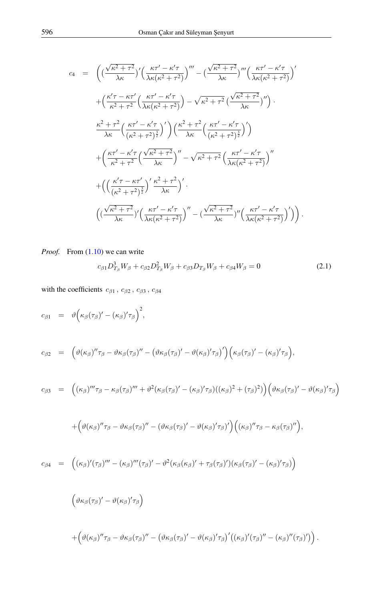$$
c_4 = \left( \left( \frac{\sqrt{\kappa^2 + \tau^2}}{\lambda \kappa} \right)' \left( \frac{\kappa \tau' - \kappa' \tau}{\lambda \kappa (\kappa^2 + \tau^2)} \right)''' - \left( \frac{\sqrt{\kappa^2 + \tau^2}}{\lambda \kappa} \right)''' \left( \frac{\kappa \tau' - \kappa' \tau}{\lambda \kappa (\kappa^2 + \tau^2)} \right)'
$$
  
+ 
$$
\left( \frac{\kappa' \tau - \kappa \tau'}{\kappa^2 + \tau^2} \left( \frac{\kappa \tau' - \kappa' \tau}{\lambda \kappa (\kappa^2 + \tau^2)} \right) - \sqrt{\kappa^2 + \tau^2} \left( \frac{\sqrt{\kappa^2 + \tau^2}}{\lambda \kappa} \right)'' \right) .
$$
  

$$
\frac{\kappa^2 + \tau^2}{\lambda \kappa} \left( \frac{\kappa \tau' - \kappa' \tau}{(\kappa^2 + \tau^2)^{\frac{3}{2}}} \right)' \left( \frac{\kappa^2 + \tau^2}{\lambda \kappa} \left( \frac{\kappa \tau' - \kappa' \tau}{(\kappa^2 + \tau^2)^{\frac{3}{2}}} \right)' \right)
$$
  
+ 
$$
\left( \frac{\kappa \tau' - \kappa' \tau}{\kappa^2 + \tau^2} \left( \frac{\sqrt{\kappa^2 + \tau^2}}{\lambda \kappa} \right)'' - \sqrt{\kappa^2 + \tau^2} \left( \frac{\kappa \tau' - \kappa' \tau}{\lambda \kappa (\kappa^2 + \tau^2)} \right)'' \right)
$$
  
+ 
$$
\left( \left( \frac{\kappa' \tau - \kappa \tau'}{(\kappa^2 + \tau^2)^{\frac{3}{2}}} \right)' \frac{\kappa^2 + \tau^2}{\lambda \kappa} \right)' .
$$
  

$$
\left( \left( \frac{\sqrt{\kappa^2 + \tau^2}}{\lambda \kappa} \right)' \left( \frac{\kappa \tau' - \kappa' \tau}{\lambda \kappa (\kappa^2 + \tau^2)} \right)'' - \left( \frac{\sqrt{\kappa^2 + \tau^2}}{\lambda \kappa} \right)'' \left( \frac{\kappa \tau' - \kappa' \tau}{\lambda \kappa (\kappa^2 + \tau^2)} \right)' \right) .
$$

*Proof.* From  $(1.10)$  we can write

<span id="page-4-0"></span>
$$
c_{\beta 1} D_{T_{\beta}}^3 W_{\beta} + c_{\beta 2} D_{T_{\beta}}^2 W_{\beta} + c_{\beta 3} D_{T_{\beta}} W_{\beta} + c_{\beta 4} W_{\beta} = 0 \tag{2.1}
$$

with the coefficients  $\,c_{\beta 1}$  ,  $\,c_{\beta 2}$  ,  $\,c_{\beta 3}$  ,  $\,c_{\beta 4}$ 

$$
c_{\beta 1} = \vartheta \Big( \kappa_{\beta} (\tau_{\beta})' - (\kappa_{\beta})' \tau_{\beta} \Big)^2,
$$
  
\n
$$
c_{\beta 2} = \Big( \vartheta (\kappa_{\beta})'' \tau_{\beta} - \vartheta \kappa_{\beta} (\tau_{\beta})'' - (\vartheta \kappa_{\beta} (\tau_{\beta})' - \vartheta (\kappa_{\beta})' \tau_{\beta})' \Big) \Big( \kappa_{\beta} (\tau_{\beta})' - (\kappa_{\beta})' \tau_{\beta} \Big),
$$
  
\n
$$
c_{\beta 2} = \Big( (\kappa_{\beta})''' \tau_{\beta} - \kappa_{\beta} (\tau_{\beta})''' + \vartheta^2 (\kappa_{\beta} (\tau_{\beta})' - (\kappa_{\beta})' \tau_{\beta}) ((\kappa_{\beta})^2 + (\tau_{\beta})^2) \Big) \Big( \vartheta \kappa_{\beta} (\tau_{\beta})' - \vartheta (\kappa_{\beta})' \tau_{\beta} \Big) \Big)
$$

$$
c_{\beta 3} = ((\kappa_{\beta})''' \tau_{\beta} - \kappa_{\beta} (\tau_{\beta})''' + \vartheta^2 (\kappa_{\beta} (\tau_{\beta})' - (\kappa_{\beta})' \tau_{\beta})((\kappa_{\beta})^2 + (\tau_{\beta})^2) ((\vartheta \kappa_{\beta} (\tau_{\beta})' - \vartheta (\kappa_{\beta})' \tau_{\beta})
$$

$$
+\Big(\vartheta(\kappa_\beta)''\tau_\beta-\vartheta\kappa_\beta(\tau_\beta)''-(\vartheta\kappa_\beta(\tau_\beta)'-\vartheta(\kappa_\beta)'\tau_\beta)'\Big)\Big((\kappa_\beta)''\tau_\beta-\kappa_\beta(\tau_\beta)''\Big),
$$

$$
c_{\beta 4} = ((\kappa_{\beta})'(\tau_{\beta})''' - (\kappa_{\beta})'''(\tau_{\beta})' - \vartheta^2(\kappa_{\beta}(\kappa_{\beta})' + \tau_{\beta}(\tau_{\beta})')(\kappa_{\beta}(\tau_{\beta})' - (\kappa_{\beta})'\tau_{\beta})
$$

$$
\begin{array}{l} \displaystyle \left(\vartheta\kappa_{\beta}(\tau_{\beta})'-\vartheta(\kappa_{\beta})'\tau_{\beta}\right)\\\\\displaystyle \qquad+\left(\vartheta(\kappa_{\beta})''\tau_{\beta}-\vartheta\kappa_{\beta}(\tau_{\beta})''-\left(\vartheta\kappa_{\beta}(\tau_{\beta})'-\vartheta(\kappa_{\beta})'\tau_{\beta}\right)'((\kappa_{\beta})'(\tau_{\beta})''-(\kappa_{\beta})''(\tau_{\beta})')\right).\end{array}
$$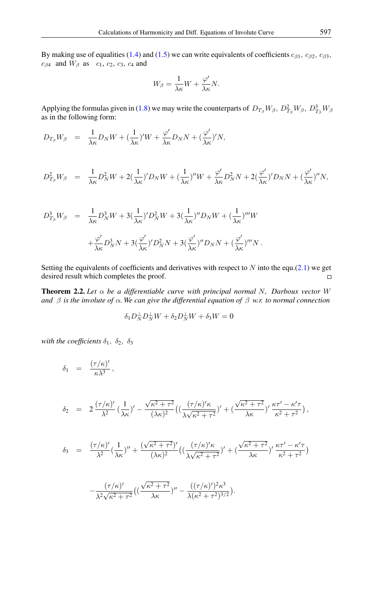By making use of equalities [\(1.4\)](#page-1-1) and [\(1.5\)](#page-1-2) we can write equivalents of coefficients  $c_{\beta 1}$ ,  $c_{\beta 2}$ ,  $c_{\beta 3}$ ,  $c_{\beta 4}$  and  $W_{\beta}$  as  $c_1, c_2, c_3, c_4$  and

$$
W_{\beta} = \frac{1}{\lambda \kappa} W + \frac{\varphi'}{\lambda \kappa} N.
$$

Applying the formulas given in [\(1.8\)](#page-1-3) we may write the counterparts of  $D_{T_{\beta}}W_{\beta}$ ,  $D_{T_{\beta}}^2W_{\beta}$ ,  $D_{T_{\beta}}^3W_{\beta}$ as in the following form:

$$
D_{T_{\beta}}W_{\beta} = \frac{1}{\lambda \kappa} D_N W + (\frac{1}{\lambda \kappa})'W + \frac{\varphi'}{\lambda \kappa} D_N N + (\frac{\varphi'}{\lambda \kappa})'N,
$$

$$
D_{T_{\beta}}^2 W_{\beta} = \frac{1}{\lambda \kappa} D_N^2 W + 2(\frac{1}{\lambda \kappa})' D_N W + (\frac{1}{\lambda \kappa})'' W + \frac{\varphi'}{\lambda \kappa} D_N^2 N + 2(\frac{\varphi'}{\lambda \kappa})' D_N N + (\frac{\varphi'}{\lambda \kappa})'' N,
$$

$$
D_{T_{\beta}}^3 W_{\beta} = \frac{1}{\lambda \kappa} D_N^3 W + 3 \left( \frac{1}{\lambda \kappa} \right)^{\prime} D_N^2 W + 3 \left( \frac{1}{\lambda \kappa} \right)^{\prime \prime} D_N W + \left( \frac{1}{\lambda \kappa} \right)^{\prime \prime \prime} W
$$
  
+ 
$$
\frac{\varphi^{\prime}}{\lambda \kappa} D_N^3 N + 3 \left( \frac{\varphi^{\prime}}{\lambda \kappa} \right)^{\prime} D_N^2 N + 3 \left( \frac{\varphi^{\prime}}{\lambda \kappa} \right)^{\prime \prime \prime} D_N N + \left( \frac{\varphi^{\prime}}{\lambda \kappa} \right)^{\prime \prime \prime} N.
$$

Setting the equivalents of coefficients and derivatives with respect to  $N$  into the equ.[\(2.1\)](#page-4-0) we get desired result which completes the proof.  $\Box$ 

Theorem 2.2. *Let* α *be a differentiable curve with principal normal* N*, Darboux vector* W *and*  $\beta$  *is the involute of*  $\alpha$ *. We can give the differential equation of*  $\beta$  *w.r. to normal connection* 

$$
\delta_1 D_N^{\perp} D_N^{\perp} W + \delta_2 D_N^{\perp} W + \delta_3 W = 0
$$

*with the coefficients*  $\delta_1$ ,  $\delta_2$ ,  $\delta_3$ 

$$
\delta_1 = \frac{(\tau/\kappa)'}{\kappa \lambda^3},
$$
\n
$$
\delta_2 = 2 \frac{(\tau/\kappa)'}{\lambda^2} \left(\frac{1}{\lambda \kappa}\right)' - \frac{\sqrt{\kappa^2 + \tau^2}}{(\lambda \kappa)^2} \left(\left(\frac{(\tau/\kappa)'\kappa}{\lambda \sqrt{\kappa^2 + \tau^2}}\right)' + \left(\frac{\sqrt{\kappa^2 + \tau^2}}{\lambda \kappa}\right)' \frac{\kappa \tau' - \kappa' \tau}{\kappa^2 + \tau^2}\right),
$$
\n
$$
\delta_3 = \frac{(\tau/\kappa)'}{\lambda^2} \left(\frac{1}{\lambda \kappa}\right)'' + \frac{(\sqrt{\kappa^2 + \tau^2})'}{(\lambda \kappa)^2} \left(\left(\frac{(\tau/\kappa)'\kappa}{\lambda \sqrt{\kappa^2 + \tau^2}}\right)' + \left(\frac{\sqrt{\kappa^2 + \tau^2}}{\lambda \kappa}\right)' \frac{\kappa \tau' - \kappa' \tau}{\kappa^2 + \tau^2}\right)
$$
\n
$$
-\frac{(\tau/\kappa)'}{\lambda^2 \sqrt{\kappa^2 + \tau^2}} \left(\left(\frac{\sqrt{\kappa^2 + \tau^2}}{\lambda \kappa}\right)'' - \frac{((\tau/\kappa)')^2 \kappa^3}{\lambda (\kappa^2 + \tau^2)^{3/2}}\right).
$$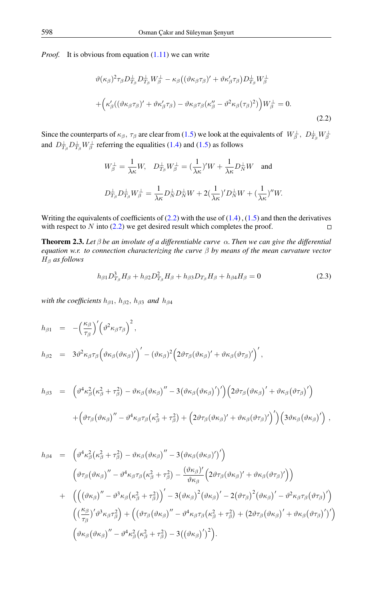*Proof.* It is obvious from equation [\(1.11\)](#page-2-1) we can write

<span id="page-6-0"></span>
$$
\vartheta(\kappa_{\beta})^{2}\tau_{\beta}D_{T_{\beta}}^{\perp}D_{T_{\beta}}^{\perp}W_{\beta}^{\perp} - \kappa_{\beta}((\vartheta\kappa_{\beta}\tau_{\beta})' + \vartheta\kappa_{\beta}'\tau_{\beta})D_{T_{\beta}}^{\perp}W_{\beta}^{\perp}
$$

$$
+ \left(\kappa_{\beta}'((\vartheta\kappa_{\beta}\tau_{\beta})' + \vartheta\kappa_{\beta}'\tau_{\beta}) - \vartheta\kappa_{\beta}\tau_{\beta}(\kappa_{\beta}'' - \vartheta^{2}\kappa_{\beta}(\tau_{\beta})^{2})\right)W_{\beta}^{\perp} = 0.
$$
\n(2.2)

Since the counterparts of  $\kappa_\beta$ ,  $\tau_\beta$  are clear from [\(1.5\)](#page-1-2) we look at the equivalents of  $W_\beta^\perp$ ,  $D_{T_\beta}^\perp W_\beta^\perp$ and  $D_{T_{\beta}}^{\perp}D_{T_{\beta}}^{\perp}W_{\beta}^{\perp}$  referring the equalities [\(1.4\)](#page-1-1) and [\(1.5\)](#page-1-2) as follows

$$
W_{\beta}^{\perp} = \frac{1}{\lambda \kappa} W, \quad D_{T_{\beta}}^{\perp} W_{\beta}^{\perp} = \left(\frac{1}{\lambda \kappa}\right)' W + \frac{1}{\lambda \kappa} D_{N}^{\perp} W \quad \text{and}
$$
  

$$
D_{T_{\beta}}^{\perp} D_{T_{\beta}}^{\perp} W_{\beta}^{\perp} = \frac{1}{\lambda \kappa} D_{N}^{\perp} D_{N}^{\perp} W + 2 \left(\frac{1}{\lambda \kappa}\right)' D_{N}^{\perp} W + \left(\frac{1}{\lambda \kappa}\right)'' W.
$$

Writing the equivalents of coefficients of  $(2.2)$  with the use of  $(1.4)$ ,  $(1.5)$  and then the derivatives with respect to  $N$  into [\(2.2\)](#page-6-0) we get desired result which completes the proof.  $\Box$ 

**Theorem 2.3.** Let  $\beta$  be an involute of a differentiable curve  $\alpha$ . Then we can give the differential *equation w.r. to connection characterizing the curve* β *by means of the mean curvature vector* H<sup>β</sup> *as follows*

<span id="page-6-1"></span>
$$
h_{\beta 1} D_{T_{\beta}}^3 H_{\beta} + h_{\beta 2} D_{T_{\beta}}^2 H_{\beta} + h_{\beta 3} D_{T_{\beta}} H_{\beta} + h_{\beta 4} H_{\beta} = 0
$$
\n(2.3)

*with the coefficients*  $h_{\beta1}$ ,  $h_{\beta2}$ ,  $h_{\beta3}$  *and*  $h_{\beta4}$ 

$$
h_{\beta 1} = -\left(\frac{\kappa_{\beta}}{\tau_{\beta}}\right)' \left(\vartheta^2 \kappa_{\beta} \tau_{\beta}\right)^2,
$$
  
\n
$$
h_{\beta 2} = 3\vartheta^2 \kappa_{\beta} \tau_{\beta} \left(\vartheta \kappa_{\beta} (\vartheta \kappa_{\beta})'\right)' - (\vartheta \kappa_{\beta})^2 \left(2\vartheta \tau_{\beta} (\vartheta \kappa_{\beta})' + \vartheta \kappa_{\beta} (\vartheta \tau_{\beta})'\right)',
$$

$$
h_{\beta 3} = \left( \vartheta^4 \kappa_{\beta}^2 (\kappa_{\beta}^2 + \tau_{\beta}^2) - \vartheta \kappa_{\beta} (\vartheta \kappa_{\beta})'' - 3 (\vartheta \kappa_{\beta} (\vartheta \kappa_{\beta})')' \right) \left( 2 \vartheta \tau_{\beta} (\vartheta \kappa_{\beta})' + \vartheta \kappa_{\beta} (\vartheta \tau_{\beta})' \right) + \left( \vartheta \tau_{\beta} (\vartheta \kappa_{\beta})'' - \vartheta^4 \kappa_{\beta} \tau_{\beta} (\kappa_{\beta}^2 + \tau_{\beta}^2) + \left( 2 \vartheta \tau_{\beta} (\vartheta \kappa_{\beta})' + \vartheta \kappa_{\beta} (\vartheta \tau_{\beta})' \right)' \right) \left( 3 \vartheta \kappa_{\beta} (\vartheta \kappa_{\beta})' \right) ,
$$

$$
h_{\beta 4} = \left( \vartheta^4 \kappa_{\beta}^2 (\kappa_{\beta}^2 + \tau_{\beta}^2) - \vartheta \kappa_{\beta} (\vartheta \kappa_{\beta})'' - 3 (\vartheta \kappa_{\beta} (\vartheta \kappa_{\beta})')' \right)
$$
  

$$
\left( \vartheta \tau_{\beta} (\vartheta \kappa_{\beta})'' - \vartheta^4 \kappa_{\beta} \tau_{\beta} (\kappa_{\beta}^2 + \tau_{\beta}^2) - \frac{(\vartheta \kappa_{\beta})'}{\vartheta \kappa_{\beta}} (2 \vartheta \tau_{\beta} (\vartheta \kappa_{\beta})' + \vartheta \kappa_{\beta} (\vartheta \tau_{\beta})') \right)
$$
  

$$
+ \left( \left( (\vartheta \kappa_{\beta})'' - \vartheta^3 \kappa_{\beta} (\kappa_{\beta}^2 + \tau_{\beta}^2) \right)' - 3 (\vartheta \kappa_{\beta})^2 (\vartheta \kappa_{\beta})' - 2 (\vartheta \tau_{\beta})^2 (\vartheta \kappa_{\beta})' - \vartheta^2 \kappa_{\beta} \tau_{\beta} (\vartheta \tau_{\beta})' \right)
$$
  

$$
\left( (\frac{\kappa_{\beta}}{\tau_{\beta}})' \vartheta^3 \kappa_{\beta} \tau_{\beta}^2 \right) + \left( (\vartheta \tau_{\beta} (\vartheta \kappa_{\beta})'' - \vartheta^4 \kappa_{\beta} \tau_{\beta} (\kappa_{\beta}^2 + \tau_{\beta}^2) + (2 \vartheta \tau_{\beta} (\vartheta \kappa_{\beta})' + \vartheta \kappa_{\beta} (\vartheta \tau_{\beta})')' \right)
$$
  

$$
(\vartheta \kappa_{\beta} (\vartheta \kappa_{\beta})'' - \vartheta^4 \kappa_{\beta}^2 (\kappa_{\beta}^2 + \tau_{\beta}^2) - 3 ((\vartheta \kappa_{\beta})')^2).
$$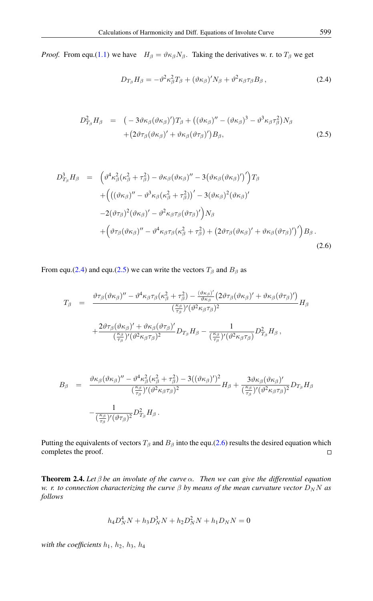*Proof.* From equ.[\(1.1\)](#page-0-0) we have  $H_\beta = \vartheta \kappa_\beta N_\beta$ . Taking the derivatives w. r. to  $T_\beta$  we get

<span id="page-7-0"></span>
$$
D_{T_{\beta}}H_{\beta} = -\vartheta^2 \kappa_{\beta}^2 T_{\beta} + (\vartheta \kappa_{\beta})^{\prime} N_{\beta} + \vartheta^2 \kappa_{\beta} \tau_{\beta} B_{\beta} , \qquad (2.4)
$$

<span id="page-7-1"></span>
$$
D_{T_{\beta}}^2 H_{\beta} = (-3\vartheta\kappa_{\beta}(\vartheta\kappa_{\beta})')T_{\beta} + ((\vartheta\kappa_{\beta})'' - (\vartheta\kappa_{\beta})^3 - \vartheta^3\kappa_{\beta}\tau_{\beta}^2)N_{\beta} + (2\vartheta\tau_{\beta}(\vartheta\kappa_{\beta})' + \vartheta\kappa_{\beta}(\vartheta\tau_{\beta})')B_{\beta},
$$
\n(2.5)

<span id="page-7-2"></span>
$$
D_{T_{\beta}}^3 H_{\beta} = \left( \vartheta^4 \kappa_{\beta}^2 (\kappa_{\beta}^2 + \tau_{\beta}^2) - \vartheta \kappa_{\beta} (\vartheta \kappa_{\beta})'' - 3 (\vartheta \kappa_{\beta} (\vartheta \kappa_{\beta})')' \right) T_{\beta}
$$
  
+ 
$$
\left( \left( (\vartheta \kappa_{\beta})'' - \vartheta^3 \kappa_{\beta} (\kappa_{\beta}^2 + \tau_{\beta}^2) \right)' - 3 (\vartheta \kappa_{\beta})^2 (\vartheta \kappa_{\beta})'
$$

$$
- 2 (\vartheta \tau_{\beta})^2 (\vartheta \kappa_{\beta})' - \vartheta^2 \kappa_{\beta} \tau_{\beta} (\vartheta \tau_{\beta})' \right) N_{\beta}
$$

$$
+ \left( \vartheta \tau_{\beta} (\vartheta \kappa_{\beta})'' - \vartheta^4 \kappa_{\beta} \tau_{\beta} (\kappa_{\beta}^2 + \tau_{\beta}^2) + \left( 2 \vartheta \tau_{\beta} (\vartheta \kappa_{\beta})' + \vartheta \kappa_{\beta} (\vartheta \tau_{\beta})' \right)' \right) B_{\beta}.
$$
  
(2.6)

From equ.[\(2.4\)](#page-7-0) and equ.[\(2.5\)](#page-7-1) we can write the vectors  $T_\beta$  and  $B_\beta$  as

$$
T_{\beta} = \frac{\vartheta \tau_{\beta} (\vartheta \kappa_{\beta})'' - \vartheta^4 \kappa_{\beta} \tau_{\beta} (\kappa_{\beta}^2 + \tau_{\beta}^2) - \frac{(\vartheta \kappa_{\beta})'}{\vartheta \kappa_{\beta}} (2 \vartheta \tau_{\beta} (\vartheta \kappa_{\beta})' + \vartheta \kappa_{\beta} (\vartheta \tau_{\beta})')}{(\frac{\kappa_{\beta}}{\tau_{\beta}})' (\vartheta^2 \kappa_{\beta} \tau_{\beta})^2} H_{\beta} + \frac{2 \vartheta \tau_{\beta} (\vartheta \kappa_{\beta})' + \vartheta \kappa_{\beta} (\vartheta \tau_{\beta})'}{(\frac{\kappa_{\beta}}{\tau_{\beta}})' (\vartheta^2 \kappa_{\beta} \tau_{\beta})^2} D_{T_{\beta}} H_{\beta} - \frac{1}{(\frac{\kappa_{\beta}}{\tau_{\beta}})' (\vartheta^2 \kappa_{\beta} \tau_{\beta})} D_{T_{\beta}}^2 H_{\beta},
$$

$$
B_{\beta} = \frac{\vartheta \kappa_{\beta} (\vartheta \kappa_{\beta})'' - \vartheta^4 \kappa_{\beta}^2 (\kappa_{\beta}^2 + \tau_{\beta}^2) - 3((\vartheta \kappa_{\beta})')^2}{(\frac{\kappa_{\beta}}{\tau_{\beta}})' (\vartheta^2 \kappa_{\beta} \tau_{\beta})^2} H_{\beta} + \frac{3 \vartheta \kappa_{\beta} (\vartheta \kappa_{\beta})'}{(\frac{\kappa_{\beta}}{\tau_{\beta}})' (\vartheta^2 \kappa_{\beta} \tau_{\beta})^2} D_{T_{\beta}} H_{\beta} -\frac{1}{(\frac{\kappa_{\beta}}{\tau_{\beta}})' (\vartheta \tau_{\beta})^2} D_{T_{\beta}}^2 H_{\beta}.
$$

Putting the equivalents of vectors  $T_\beta$  and  $B_\beta$  into the equ.[\(2.6\)](#page-7-2) results the desired equation which completes the proof.  $\Box$ 

Theorem 2.4. *Let* β *be an involute of the curve* α*. Then we can give the differential equation w. r. to connection characterizing the curve*  $\beta$  *by means of the mean curvature vector*  $D_N N$  *as follows*

$$
h_4 D_N^4 N + h_3 D_N^3 N + h_2 D_N^2 N + h_1 D_N N = 0
$$

*with the coefficients*  $h_1$ ,  $h_2$ ,  $h_3$ ,  $h_4$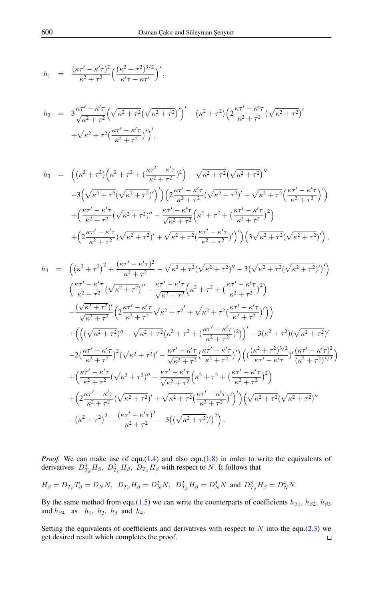$$
h_1 = \frac{(\kappa \tau' - \kappa' \tau)^2}{\kappa^2 + \tau^2} \left( \frac{(\kappa^2 + \tau^2)^{3/2}}{\kappa' \tau - \kappa \tau'} \right)',
$$

$$
h_2 = 3\frac{\kappa\tau' - \kappa'\tau}{\sqrt{\kappa^2 + \tau^2}} \left(\sqrt{\kappa^2 + \tau^2} (\sqrt{\kappa^2 + \tau^2})'\right)' - (\kappa^2 + \tau^2) \left(2\frac{\kappa\tau' - \kappa'\tau}{\kappa^2 + \tau^2} (\sqrt{\kappa^2 + \tau^2})'\right)'
$$
  
+  $\sqrt{\kappa^2 + \tau^2} \left(\frac{\kappa\tau' - \kappa'\tau}{\kappa^2 + \tau^2}\right)'$ ,

$$
h_3 = \left( \left( \kappa^2 + \tau^2 \right) \left( \kappa^2 + \tau^2 + \left( \frac{\kappa \tau' - \kappa' \tau}{\kappa^2 + \tau^2} \right)^2 \right) - \sqrt{\kappa^2 + \tau^2} \left( \sqrt{\kappa^2 + \tau^2} \right)^{\prime \prime} - 3 \left( \sqrt{\kappa^2 + \tau^2} \left( \sqrt{\kappa^2 + \tau^2} \right)^{\prime} \right) \left( 2 \frac{\kappa \tau' - \kappa' \tau}{\kappa^2 + \tau^2} \left( \sqrt{\kappa^2 + \tau^2} \right)^{\prime} + \sqrt{\kappa^2 + \tau^2} \left( \frac{\kappa \tau' - \kappa' \tau}{\kappa^2 + \tau^2} \right)^{\prime} \right) + \left( \frac{\kappa \tau' - \kappa' \tau}{\kappa^2 + \tau^2} \left( \sqrt{\kappa^2 + \tau^2} \right)^{\prime \prime} - \frac{\kappa \tau' - \kappa' \tau}{\sqrt{\kappa^2 + \tau^2}} \left( \kappa^2 + \tau^2 + \left( \frac{\kappa \tau' - \kappa' \tau}{\kappa^2 + \tau^2} \right)^2 \right) + \left( 2 \frac{\kappa \tau' - \kappa' \tau}{\kappa^2 + \tau^2} \left( \sqrt{\kappa^2 + \tau^2} \right)^{\prime} + \sqrt{\kappa^2 + \tau^2} \left( \frac{\kappa \tau' - \kappa' \tau}{\kappa^2 + \tau^2} \right)^{\prime} \right) \left( 3 \sqrt{\kappa^2 + \tau^2} \left( \sqrt{\kappa^2 + \tau^2} \right)^{\prime} \right),
$$

$$
h_{4} = \left( \left( \kappa^{2} + \tau^{2} \right)^{2} + \frac{(\kappa \tau' - \kappa' \tau)^{2}}{\kappa^{2} + \tau^{2}} - \sqrt{\kappa^{2} + \tau^{2}} (\sqrt{\kappa^{2} + \tau^{2}})^{''} - 3 \left( \sqrt{\kappa^{2} + \tau^{2}} (\sqrt{\kappa^{2} + \tau^{2}})^{'} \right) \right) \n\left( \frac{\kappa \tau' - \kappa' \tau}{\kappa^{2} + \tau^{2}} (\sqrt{\kappa^{2} + \tau^{2}})^{''} - \frac{\kappa \tau' - \kappa' \tau}{\sqrt{\kappa^{2} + \tau^{2}}} \left( \kappa^{2} + \tau^{2} + \left( \frac{\kappa \tau' - \kappa' \tau}{\kappa^{2} + \tau^{2}} \right)^{2} \right) \right) \n- \frac{(\sqrt{\kappa^{2} + \tau^{2}})^{'}}{\sqrt{\kappa^{2} + \tau^{2}}} \left( 2 \frac{\kappa \tau' - \kappa' \tau}{\kappa^{2} + \tau^{2}} \sqrt{\kappa^{2} + \tau^{2}} + \sqrt{\kappa^{2} + \tau^{2}} (\frac{\kappa \tau' - \kappa' \tau}{\kappa^{2} + \tau^{2}})^{'} \right) \right) \n+ \left( \left( (\sqrt{\kappa^{2} + \tau^{2}})^{''} - \sqrt{\kappa^{2} + \tau^{2}} (\kappa^{2} + \tau^{2} + (\frac{\kappa \tau' - \kappa' \tau}{\kappa^{2} + \tau^{2}})^{2}) \right)^{'} - 3(\kappa^{2} + \tau^{2}) (\sqrt{\kappa^{2} + \tau^{2}})^{'} \right) \n- 2(\frac{\kappa \tau' - \kappa' \tau}{\kappa^{2} + \tau^{2}})^{2} (\sqrt{\kappa^{2} + \tau^{2}})^{'} - \frac{\kappa \tau' - \kappa' \tau}{\sqrt{\kappa^{2} + \tau^{2}}} (\frac{\kappa \tau' - \kappa' \tau}{\kappa^{2} + \tau^{2}})^{'} \right) \left( (\frac{(\kappa^{2} + \tau^{2})^{3/2}}{\kappa \tau' - \kappa' \tau} )^{'} (\kappa^{2} + \tau^{2})^{3/2} \right) \n+ (\frac{\kappa \tau' - \kappa' \tau}{\kappa^{2} + \
$$

*Proof.* We can make use of equ. $(1.4)$  and also equ. $(1.8)$  in order to write the equivalents of derivatives  $D_{T_{\beta}}^3 H_{\beta}$ ,  $D_{T_{\beta}}^2 H_{\beta}$ ,  $D_{T_{\beta}} H_{\beta}$  with respect to N. It follows that

$$
H_{\beta}=D_{T_{\beta}}T_{\beta}=D_{N}N,~~D_{T_{\beta}}H_{\beta}=D_{N}^{2}N,~~D_{T_{\beta}}^{2}H_{\beta}=D_{N}^{3}N~\text{ and }~D_{T_{\beta}}^{3}H_{\beta}=D_{N}^{4}N.
$$

By the same method from equ.[\(1.5\)](#page-1-2) we can write the counterparts of coefficients  $h_{\beta 1}$ ,  $h_{\beta 2}$ ,  $h_{\beta 3}$ and  $h_{\beta 4}$  as  $h_1$ ,  $h_2$ ,  $h_3$  and  $h_4$ .

Setting the equivalents of coefficients and derivatives with respect to  $N$  into the equ.[\(2.3\)](#page-6-1) we get desired result which completes the proof. $\Box$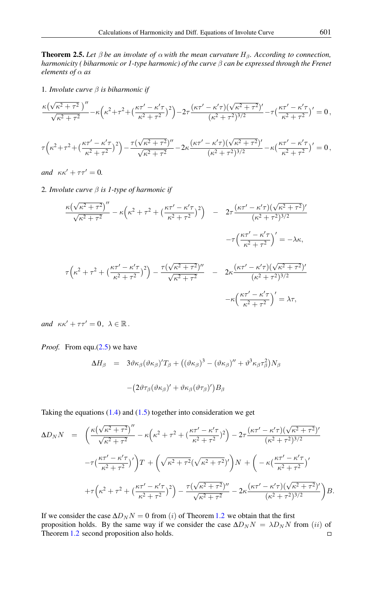<span id="page-9-0"></span>**Theorem 2.5.** Let  $\beta$  be an involute of  $\alpha$  with the mean curvature  $H_{\beta}$ . According to connection, *harmonicity ( biharmonic or 1-type harmonic) of the curve* β *can be expressed through the Frenet elements of* α *as*

1*. Involute curve* β *is biharmonic if*

$$
\frac{\kappa(\sqrt{\kappa^2+\tau^2})''}{\sqrt{\kappa^2+\tau^2}} - \kappa(\kappa^2+\tau^2+(\frac{\kappa\tau'-\kappa'\tau}{\kappa^2+\tau^2})^2) - 2\tau\frac{(\kappa\tau'-\kappa'\tau)(\sqrt{\kappa^2+\tau^2})'}{(\kappa^2+\tau^2)^{3/2}} - \tau(\frac{\kappa\tau'-\kappa'\tau}{\kappa^2+\tau^2})' = 0,
$$
  

$$
\tau(\kappa^2+\tau^2+(\frac{\kappa\tau'-\kappa'\tau}{\kappa^2+\tau^2})^2) - \frac{\tau(\sqrt{\kappa^2+\tau^2})''}{\sqrt{\kappa^2+\tau^2}} - 2\kappa\frac{(\kappa\tau'-\kappa'\tau)(\sqrt{\kappa^2+\tau^2})'}{(\kappa^2+\tau^2)^{3/2}} - \kappa(\frac{\kappa\tau'-\kappa'\tau}{\kappa^2+\tau^2})' = 0,
$$

*and*  $\kappa \kappa' + \tau \tau' = 0$ .

2*. Involute curve* β *is 1-type of harmonic if*

$$
\frac{\kappa(\sqrt{\kappa^{2}+\tau^{2}})''}{\sqrt{\kappa^{2}+\tau^{2}}} - \kappa(\kappa^{2}+\tau^{2}+(\frac{\kappa\tau'-\kappa'\tau}{\kappa^{2}+\tau^{2}})^{2}) - 2\tau\frac{(\kappa\tau'-\kappa'\tau)(\sqrt{\kappa^{2}+\tau^{2}})'}{(\kappa^{2}+\tau^{2})^{3/2}} - \tau\left(\frac{\kappa\tau'-\kappa'\tau}{\kappa^{2}+\tau^{2}}\right)' = -\lambda\kappa,
$$
  

$$
\tau(\kappa^{2}+\tau^{2}+(\frac{\kappa\tau'-\kappa'\tau}{\kappa^{2}+\tau^{2}})^{2}) - \frac{\tau(\sqrt{\kappa^{2}+\tau^{2}})''}{\sqrt{\kappa^{2}+\tau^{2}}} - 2\kappa\frac{(\kappa\tau'-\kappa'\tau)(\sqrt{\kappa^{2}+\tau^{2}})'}{(\kappa^{2}+\tau^{2})^{3/2}} - \kappa\left(\frac{\kappa\tau'-\kappa'\tau}{\kappa^{2}+\tau^{2}}\right)' = \lambda\tau,
$$

*and*  $\kappa \kappa' + \tau \tau' = 0, \ \lambda \in \mathbb{R}$ .

*Proof.* From equ.[\(2.5\)](#page-7-1) we have

$$
\Delta H_{\beta} = 3\vartheta \kappa_{\beta} (\vartheta \kappa_{\beta})' T_{\beta} + ((\vartheta \kappa_{\beta})^3 - (\vartheta \kappa_{\beta})'' + \vartheta^3 \kappa_{\beta} \tau_{\beta}^2) N_{\beta}
$$

$$
- (2\vartheta \tau_{\beta} (\vartheta \kappa_{\beta})' + \vartheta \kappa_{\beta} (\vartheta \tau_{\beta})') B_{\beta}
$$

Taking the equations  $(1.4)$  and  $(1.5)$  together into consideration we get

$$
\Delta D_N N = \left( \frac{\kappa (\sqrt{\kappa^2 + \tau^2})^{\prime \prime}}{\sqrt{\kappa^2 + \tau^2}} - \kappa (\kappa^2 + \tau^2 + (\frac{\kappa \tau' - \kappa' \tau}{\kappa^2 + \tau^2})^2) - 2\tau \frac{(\kappa \tau' - \kappa' \tau)(\sqrt{\kappa^2 + \tau^2})^{\prime}}{(\kappa^2 + \tau^2)^{3/2}} \right. \\
\left. - \tau \left( \frac{\kappa \tau' - \kappa' \tau}{\kappa^2 + \tau^2} \right)^{\prime} \right) T + \left( \sqrt{\kappa^2 + \tau^2} (\sqrt{\kappa^2 + \tau^2})^{\prime} \right) N + \left( -\kappa \left( \frac{\kappa \tau' - \kappa' \tau}{\kappa^2 + \tau^2} \right)^{\prime} \right. \\
\left. + \tau \left( \kappa^2 + \tau^2 + \left( \frac{\kappa \tau' - \kappa' \tau}{\kappa^2 + \tau^2} \right)^2 \right) - \frac{\tau (\sqrt{\kappa^2 + \tau^2})^{\prime \prime}}{\sqrt{\kappa^2 + \tau^2}} - 2\kappa \frac{(\kappa \tau' - \kappa' \tau)(\sqrt{\kappa^2 + \tau^2})^{\prime}}{(\kappa^2 + \tau^2)^{3/2}} \right) B.
$$

If we consider the case  $\Delta D_N N = 0$  from (i) of Theorem [1.2](#page-1-4) we obtain that the first proposition holds. By the same way if we consider the case  $\Delta D_N N = \lambda D_N N$  from (ii) of Theorem [1.2](#page-1-4) second proposition also holds. $\Box$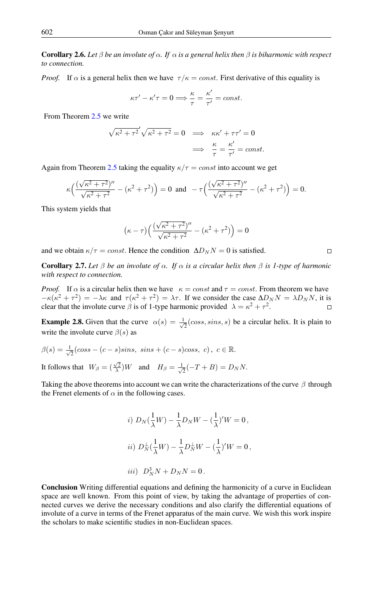**Corollary 2.6.** Let  $\beta$  be an involute of  $\alpha$ . If  $\alpha$  is a general helix then  $\beta$  is biharmonic with respect *to connection.*

*Proof.* If  $\alpha$  is a general helix then we have  $\tau/\kappa = const.$  First derivative of this equality is

$$
\kappa \tau' - \kappa' \tau = 0 \Longrightarrow \frac{\kappa}{\tau} = \frac{\kappa'}{\tau'} = const.
$$

From Theorem [2.5](#page-9-0) we write

$$
\sqrt{\kappa^2 + \tau^2} \sqrt{\kappa^2 + \tau^2} = 0 \implies \kappa \kappa' + \tau \tau' = 0
$$
  

$$
\implies \frac{\kappa}{\tau} = \frac{\kappa'}{\tau'} = const.
$$

Again from Theorem [2.5](#page-9-0) taking the equality  $\kappa/\tau = const$  into account we get

$$
\kappa \Big( \frac{(\sqrt{\kappa^2 + \tau^2})^{\prime \prime}}{\sqrt{\kappa^2 + \tau^2}} - (\kappa^2 + \tau^2) \Big) = 0 \text{ and } -\tau \Big( \frac{(\sqrt{\kappa^2 + \tau^2})^{\prime \prime}}{\sqrt{\kappa^2 + \tau^2}} - (\kappa^2 + \tau^2) \Big) = 0.
$$

This system yields that

$$
(\kappa - \tau) \left( \frac{(\sqrt{\kappa^2 + \tau^2})^{\prime\prime}}{\sqrt{\kappa^2 + \tau^2}} - (\kappa^2 + \tau^2) \right) = 0
$$

 $\Box$ 

and we obtain  $\kappa/\tau = const.$  Hence the condition  $\Delta D_N N = 0$  is satisfied.

Corollary 2.7. *Let* β *be an involute of* α*. If* α *is a circular helix then* β *is 1-type of harmonic with respect to connection.*

*Proof.* If  $\alpha$  is a circular helix then we have  $\kappa = const$  and  $\tau = const$ . From theorem we have  $-\kappa(\kappa^2 + \tau^2) = -\lambda\kappa$  and  $\tau(\kappa^2 + \tau^2) = \lambda\tau$ . If we consider the case  $\Delta D_N N = \lambda D_N N$ , it is clear that the involute curve  $\beta$  is of 1-type harmonic provided  $\lambda = \kappa^2 + \tau^2$ .  $\Box$ 

**Example 2.8.** Given that the curve  $\alpha(s) = \frac{1}{s}$  $\overline{z}$ (coss, sins, s) be a circular helix. It is plain to write the involute curve  $\beta(s)$  as

$$
\beta(s) = \frac{1}{\sqrt{2}}(\cos s - (c - s)\sin s, \ \sin s + (c - s)\cos s, \ c), \ c \in \mathbb{R}.
$$
  
It follows that  $W_{\beta} = (\frac{\sqrt{2}}{\lambda})W$  and  $H_{\beta} = \frac{1}{\sqrt{2}}(-T + B) = D_N N$ .

Taking the above theorems into account we can write the characterizations of the curve  $\beta$  through the Frenet elements of  $\alpha$  in the following cases.

*i)* 
$$
D_N(\frac{1}{\lambda}W) - \frac{1}{\lambda}D_NW - (\frac{1}{\lambda})'W = 0,
$$
  
\n*ii)*  $D_N^{\perp}(\frac{1}{\lambda}W) - \frac{1}{\lambda}D_N^{\perp}W - (\frac{1}{\lambda})'W = 0,$   
\n*iii)*  $D_N^3N + D_NN = 0.$ 

Conclusion Writing differential equations and defining the harmonicity of a curve in Euclidean space are well known. From this point of view, by taking the advantage of properties of connected curves we derive the necessary conditions and also clarify the differential equations of involute of a curve in terms of the Frenet apparatus of the main curve. We wish this work inspire the scholars to make scientific studies in non-Euclidean spaces.